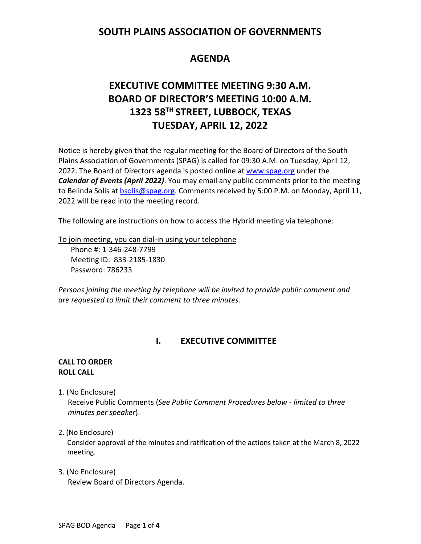## **SOUTH PLAINS ASSOCIATION OF GOVERNMENTS**

# **AGENDA**

# **EXECUTIVE COMMITTEE MEETING 9:30 A.M. BOARD OF DIRECTOR'S MEETING 10:00 A.M. 1323 58TH STREET, LUBBOCK, TEXAS TUESDAY, APRIL 12, 2022**

Notice is hereby given that the regular meeting for the Board of Directors of the South Plains Association of Governments (SPAG) is called for 09:30 A.M. on Tuesday, April 12, 2022. The Board of Directors agenda is posted online at [www.spag.org](http://www.spag.org/) under the *Calendar of Events (April 2022)*. You may email any public comments prior to the meeting to Belinda Solis at **bsolis@spag.org.** Comments received by 5:00 P.M. on Monday, April 11, 2022 will be read into the meeting record.

The following are instructions on how to access the Hybrid meeting via telephone:

To join meeting, you can dial-in using your telephone

Phone #: 1-346-248-7799 Meeting ID: 833-2185-1830 Password: 786233

*Persons joining the meeting by telephone will be invited to provide public comment and are requested to limit their comment to three minutes.*

## **I. EXECUTIVE COMMITTEE**

#### **CALL TO ORDER ROLL CALL**

1. (No Enclosure)

 Receive Public Comments (*See Public Comment Procedures below - limited to three minutes per speaker*).

#### 2. (No Enclosure)

Consider approval of the minutes and ratification of the actions taken at the March 8, 2022 meeting.

3. (No Enclosure) Review Board of Directors Agenda.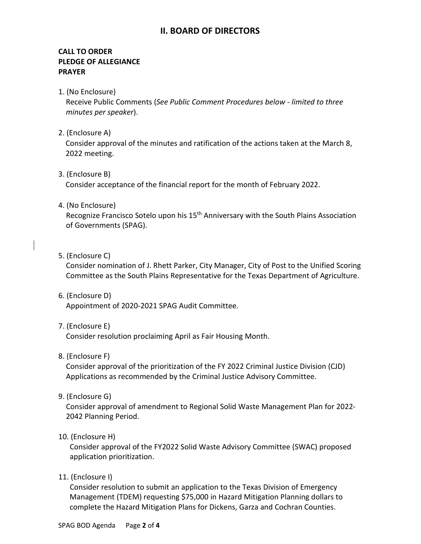## **II. BOARD OF DIRECTORS**

### **CALL TO ORDER PLEDGE OF ALLEGIANCE PRAYER**

1. (No Enclosure)

 Receive Public Comments (*See Public Comment Procedures below - limited to three minutes per speaker*).

2. (Enclosure A)

Consider approval of the minutes and ratification of the actions taken at the March 8, 2022 meeting.

3. (Enclosure B)

Consider acceptance of the financial report for the month of February 2022.

4. (No Enclosure)

Recognize Francisco Sotelo upon his 15<sup>th</sup> Anniversary with the South Plains Association of Governments (SPAG).

5. (Enclosure C)

Consider nomination of J. Rhett Parker, City Manager, City of Post to the Unified Scoring Committee as the South Plains Representative for the Texas Department of Agriculture.

6. (Enclosure D)

Appointment of 2020-2021 SPAG Audit Committee.

7. (Enclosure E)

Consider resolution proclaiming April as Fair Housing Month.

8. (Enclosure F)

Consider approval of the prioritization of the FY 2022 Criminal Justice Division (CJD) Applications as recommended by the Criminal Justice Advisory Committee.

9. (Enclosure G)

Consider approval of amendment to Regional Solid Waste Management Plan for 2022- 2042 Planning Period.

10. (Enclosure H)

 Consider approval of the FY2022 Solid Waste Advisory Committee (SWAC) proposed application prioritization.

11. (Enclosure I)

 Consider resolution to submit an application to the Texas Division of Emergency Management (TDEM) requesting \$75,000 in Hazard Mitigation Planning dollars to complete the Hazard Mitigation Plans for Dickens, Garza and Cochran Counties.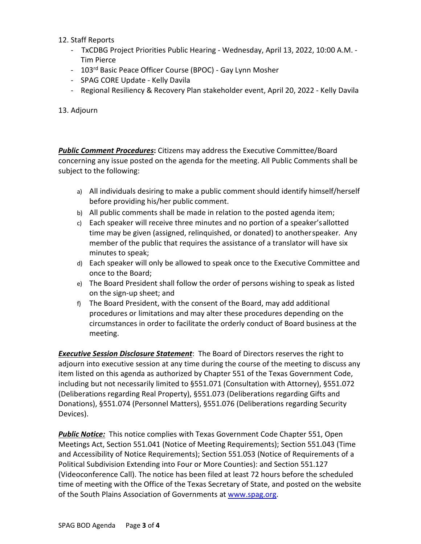#### 12. Staff Reports

- TxCDBG Project Priorities Public Hearing Wednesday, April 13, 2022, 10:00 A.M. Tim Pierce
- 103<sup>rd</sup> Basic Peace Officer Course (BPOC) Gay Lynn Mosher
- SPAG CORE Update Kelly Davila
- Regional Resiliency & Recovery Plan stakeholder event, April 20, 2022 Kelly Davila
- 13. Adjourn

**Public Comment Procedures:** Citizens may address the Executive Committee/Board concerning any issue posted on the agenda for the meeting. All Public Comments shall be subject to the following:

- a) All individuals desiring to make a public comment should identify himself/herself before providing his/her public comment.
- b) All public comments shall be made in relation to the posted agenda item;
- c) Each speaker will receive three minutes and no portion of a speaker'sallotted time may be given (assigned, relinquished, or donated) to anotherspeaker. Any member of the public that requires the assistance of a translator will have six minutes to speak;
- d) Each speaker will only be allowed to speak once to the Executive Committee and once to the Board;
- e) The Board President shall follow the order of persons wishing to speak as listed on the sign-up sheet; and
- f) The Board President, with the consent of the Board, may add additional procedures or limitations and may alter these procedures depending on the circumstances in order to facilitate the orderly conduct of Board business at the meeting.

*Executive Session Disclosure Statement*: The Board of Directors reserves the right to adjourn into executive session at any time during the course of the meeting to discuss any item listed on this agenda as authorized by Chapter 551 of the Texas Government Code, including but not necessarily limited to §551.071 (Consultation with Attorney), §551.072 (Deliberations regarding Real Property), §551.073 (Deliberations regarding Gifts and Donations), §551.074 (Personnel Matters), §551.076 (Deliberations regarding Security Devices).

**Public Notice:** This notice complies with Texas Government Code Chapter 551, Open Meetings Act, Section 551.041 (Notice of Meeting Requirements); Section 551.043 (Time and Accessibility of Notice Requirements); Section 551.053 (Notice of Requirements of a Political Subdivision Extending into Four or More Counties): and Section 551.127 (Videoconference Call). The notice has been filed at least 72 hours before the scheduled time of meeting with the Office of the Texas Secretary of State, and posted on the website of the South Plains Association of Governments at [www.spag.org.](http://www.spag.org/)